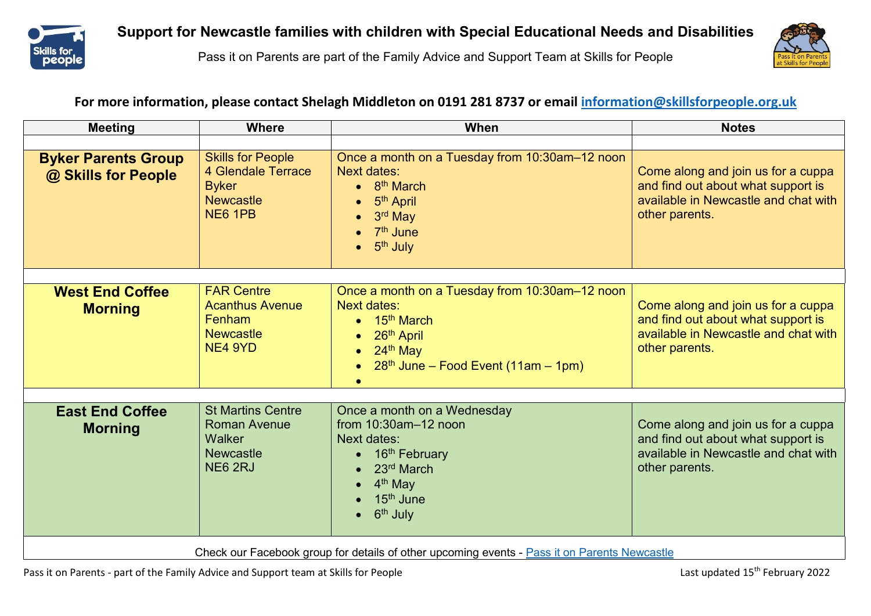

Pass it on Parents are part of the Family Advice and Support Team at Skills for People



## **For more information, please contact Shelagh Middleton on 0191 281 8737 or email [information@skillsforpeople.org.uk](mailto:information@skillsforpeople.org.uk)**

| <b>Meeting</b>                                                                               | <b>Where</b>                                                                                         | When                                                                                                                                                                                               | <b>Notes</b>                                                                                                                       |  |
|----------------------------------------------------------------------------------------------|------------------------------------------------------------------------------------------------------|----------------------------------------------------------------------------------------------------------------------------------------------------------------------------------------------------|------------------------------------------------------------------------------------------------------------------------------------|--|
|                                                                                              |                                                                                                      |                                                                                                                                                                                                    |                                                                                                                                    |  |
| <b>Byker Parents Group</b><br>@ Skills for People                                            | <b>Skills for People</b><br><b>4 Glendale Terrace</b><br><b>Byker</b><br><b>Newcastle</b><br>NE6 1PB | Once a month on a Tuesday from 10:30am-12 noon<br><b>Next dates:</b><br>$\bullet$ 8 <sup>th</sup> March<br>5 <sup>th</sup> April<br>3rd May<br>7 <sup>th</sup> June<br>5 <sup>th</sup> July        | Come along and join us for a cuppa<br>and find out about what support is<br>available in Newcastle and chat with<br>other parents. |  |
|                                                                                              | <b>FAR Centre</b>                                                                                    |                                                                                                                                                                                                    |                                                                                                                                    |  |
| <b>West End Coffee</b><br><b>Morning</b>                                                     | <b>Acanthus Avenue</b><br>Fenham<br><b>Newcastle</b><br>NE4 9YD                                      | Once a month on a Tuesday from 10:30am-12 noon<br><b>Next dates:</b><br>15 <sup>th</sup> March<br>26th April<br>$\bullet$<br>24th May<br>$28th$ June – Food Event (11am – 1pm)                     | Come along and join us for a cuppa<br>and find out about what support is<br>available in Newcastle and chat with<br>other parents. |  |
|                                                                                              |                                                                                                      |                                                                                                                                                                                                    |                                                                                                                                    |  |
| <b>East End Coffee</b><br><b>Morning</b>                                                     | <b>St Martins Centre</b><br><b>Roman Avenue</b><br>Walker<br><b>Newcastle</b><br>NE6 2RJ             | Once a month on a Wednesday<br>from $10:30$ am $-12$ noon<br><b>Next dates:</b><br>16 <sup>th</sup> February<br>23rd March<br>4 <sup>th</sup> May<br>15 <sup>th</sup> June<br>6 <sup>th</sup> July | Come along and join us for a cuppa<br>and find out about what support is<br>available in Newcastle and chat with<br>other parents. |  |
| Check our Facebook group for details of other upcoming events - Pass it on Parents Newcastle |                                                                                                      |                                                                                                                                                                                                    |                                                                                                                                    |  |

Pass it on Parents - part of the Family Advice and Support team at Skills for People Last updated 15<sup>th</sup> February 2022